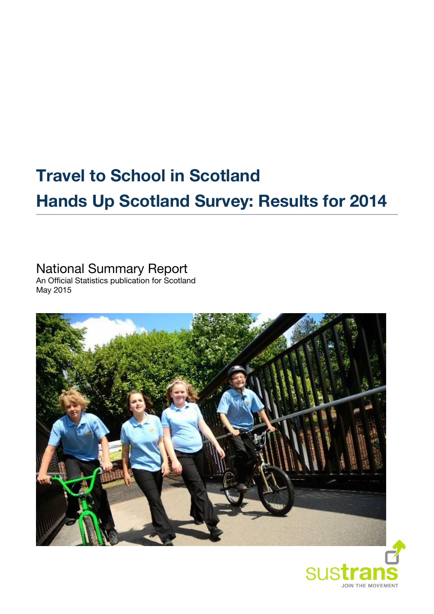# **Travel to School in Scotland Hands Up Scotland Survey: Results for 2014**

# National Summary Report

An Official Statistics publication for Scotland May 2015



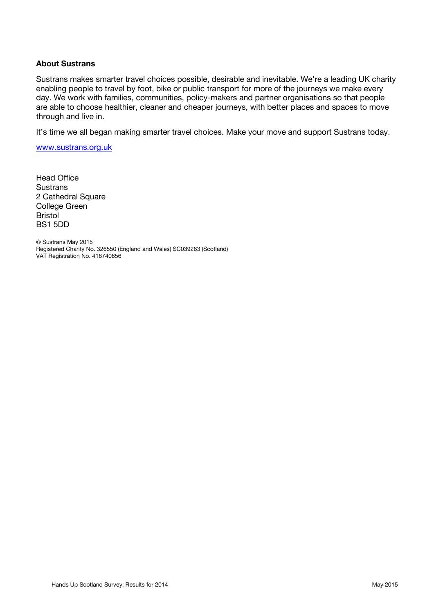#### **About Sustrans**

Sustrans makes smarter travel choices possible, desirable and inevitable. We're a leading UK charity enabling people to travel by foot, bike or public transport for more of the journeys we make every day. We work with families, communities, policy-makers and partner organisations so that people are able to choose healthier, cleaner and cheaper journeys, with better places and spaces to move through and live in.

It's time we all began making smarter travel choices. Make your move and support Sustrans today.

[www.sustrans.org.uk](file://sus-ne1-fs2/Shared/RMU/03%20EYP/3.0%20Projects/81709%20Hands%20Up%20Scotland/Hands%20Up%20Scotland%202014/5.%20Reporting/1.%20Drafts/3.%20National%20Summary/www.sustrans.org.uk)

Head Office **Sustrans** 2 Cathedral Square College Green Bristol BS1 5DD

© Sustrans May 2015 Registered Charity No. 326550 (England and Wales) SC039263 (Scotland) VAT Registration No. 416740656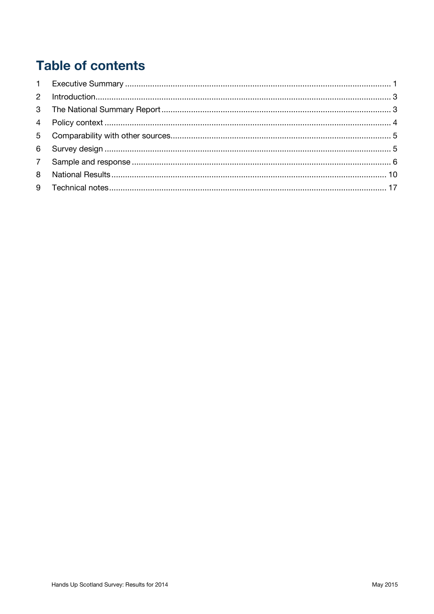# **Table of contents**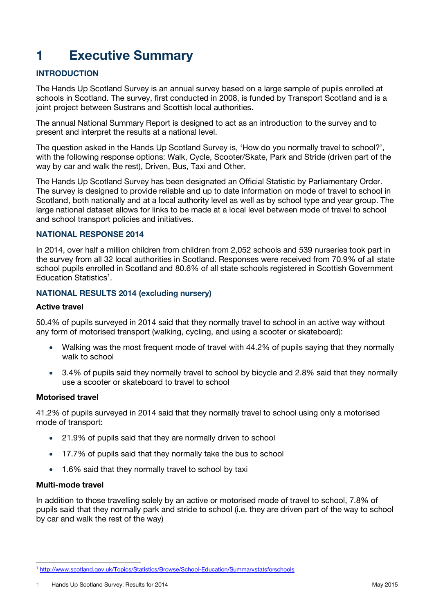# <span id="page-3-0"></span>**1 Executive Summary**

# **INTRODUCTION**

The Hands Up Scotland Survey is an annual survey based on a large sample of pupils enrolled at schools in Scotland. The survey, first conducted in 2008, is funded by Transport Scotland and is a joint project between Sustrans and Scottish local authorities.

The annual National Summary Report is designed to act as an introduction to the survey and to present and interpret the results at a national level.

The question asked in the Hands Up Scotland Survey is, 'How do you normally travel to school?', with the following response options: Walk, Cycle, Scooter/Skate, Park and Stride (driven part of the way by car and walk the rest), Driven, Bus, Taxi and Other.

The Hands Up Scotland Survey has been designated an Official Statistic by Parliamentary Order. The survey is designed to provide reliable and up to date information on mode of travel to school in Scotland, both nationally and at a local authority level as well as by school type and year group. The large national dataset allows for links to be made at a local level between mode of travel to school and school transport policies and initiatives.

### **NATIONAL RESPONSE 2014**

In 2014, over half a million children from children from 2,052 schools and 539 nurseries took part in the survey from all 32 local authorities in Scotland. Responses were received from 70.9% of all state school pupils enrolled in Scotland and 80.6% of all state schools registered in Scottish Government Education Statistics<sup>1</sup>.

# **NATIONAL RESULTS 2014 (excluding nursery)**

#### **Active travel**

50.4% of pupils surveyed in 2014 said that they normally travel to school in an active way without any form of motorised transport (walking, cycling, and using a scooter or skateboard):

- Walking was the most frequent mode of travel with 44.2% of pupils saying that they normally walk to school
- 3.4% of pupils said they normally travel to school by bicycle and 2.8% said that they normally use a scooter or skateboard to travel to school

#### **Motorised travel**

41.2% of pupils surveyed in 2014 said that they normally travel to school using only a motorised mode of transport:

- 21.9% of pupils said that they are normally driven to school
- 17.7% of pupils said that they normally take the bus to school
- 1.6% said that they normally travel to school by taxi

#### **Multi-mode travel**

In addition to those travelling solely by an active or motorised mode of travel to school, 7.8% of pupils said that they normally park and stride to school (i.e. they are driven part of the way to school by car and walk the rest of the way)

 <sup>1</sup> <http://www.scotland.gov.uk/Topics/Statistics/Browse/School-Education/Summarystatsforschools>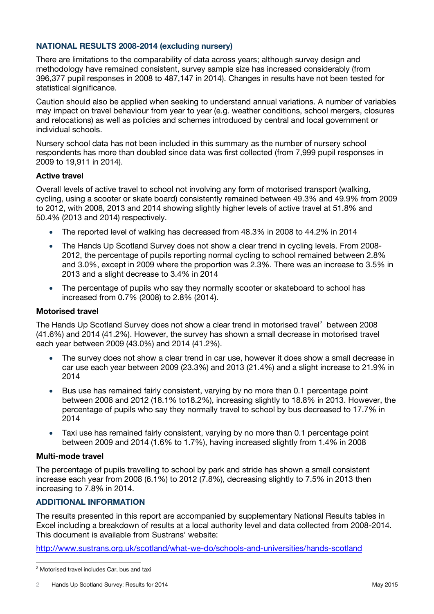# **NATIONAL RESULTS 2008-2014 (excluding nursery)**

There are limitations to the comparability of data across years; although survey design and methodology have remained consistent, survey sample size has increased considerably (from 396,377 pupil responses in 2008 to 487,147 in 2014). Changes in results have not been tested for statistical significance.

Caution should also be applied when seeking to understand annual variations. A number of variables may impact on travel behaviour from year to year (e.g. weather conditions, school mergers, closures and relocations) as well as policies and schemes introduced by central and local government or individual schools.

Nursery school data has not been included in this summary as the number of nursery school respondents has more than doubled since data was first collected (from 7,999 pupil responses in 2009 to 19,911 in 2014).

### **Active travel**

Overall levels of active travel to school not involving any form of motorised transport (walking, cycling, using a scooter or skate board) consistently remained between 49.3% and 49.9% from 2009 to 2012, with 2008, 2013 and 2014 showing slightly higher levels of active travel at 51.8% and 50.4% (2013 and 2014) respectively.

- The reported level of walking has decreased from 48.3% in 2008 to 44.2% in 2014
- The Hands Up Scotland Survey does not show a clear trend in cycling levels. From 2008- 2012, the percentage of pupils reporting normal cycling to school remained between 2.8% and 3.0%, except in 2009 where the proportion was 2.3%. There was an increase to 3.5% in 2013 and a slight decrease to 3.4% in 2014
- The percentage of pupils who say they normally scooter or skateboard to school has increased from 0.7% (2008) to 2.8% (2014).

### **Motorised travel**

The Hands Up Scotland Survey does not show a clear trend in motorised travel<sup>2</sup> between 2008 (41.6%) and 2014 (41.2%). However, the survey has shown a small decrease in motorised travel each year between 2009 (43.0%) and 2014 (41.2%).

- The survey does not show a clear trend in car use, however it does show a small decrease in car use each year between 2009 (23.3%) and 2013 (21.4%) and a slight increase to 21.9% in 2014
- Bus use has remained fairly consistent, varying by no more than 0.1 percentage point between 2008 and 2012 (18.1% to18.2%), increasing slightly to 18.8% in 2013. However, the percentage of pupils who say they normally travel to school by bus decreased to 17.7% in 2014
- Taxi use has remained fairly consistent, varying by no more than 0.1 percentage point between 2009 and 2014 (1.6% to 1.7%), having increased slightly from 1.4% in 2008

#### **Multi-mode travel**

The percentage of pupils travelling to school by park and stride has shown a small consistent increase each year from 2008 (6.1%) to 2012 (7.8%), decreasing slightly to 7.5% in 2013 then increasing to 7.8% in 2014.

# **ADDITIONAL INFORMATION**

The results presented in this report are accompanied by supplementary National Results tables in Excel including a breakdown of results at a local authority level and data collected from 2008-2014. This document is available from Sustrans' website:

<http://www.sustrans.org.uk/scotland/what-we-do/schools-and-universities/hands-scotland>

<sup>2</sup> Motorised travel includes Car, bus and taxi

<sup>2</sup> Hands Up Scotland Survey: Results for 2014 May 2015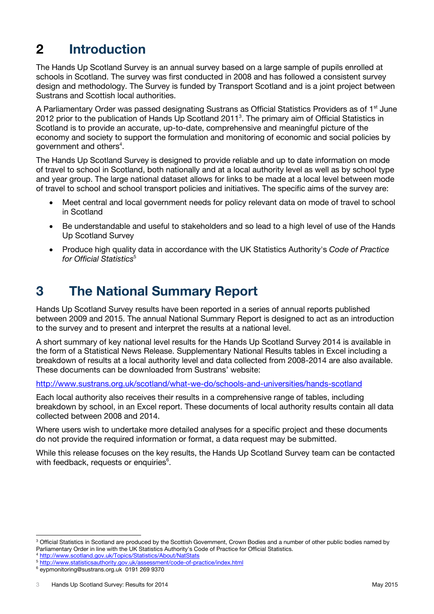# <span id="page-5-0"></span>**2 Introduction**

The Hands Up Scotland Survey is an annual survey based on a large sample of pupils enrolled at schools in Scotland. The survey was first conducted in 2008 and has followed a consistent survey design and methodology. The Survey is funded by Transport Scotland and is a joint project between Sustrans and Scottish local authorities.

A Parliamentary Order was passed designating Sustrans as Official Statistics Providers as of 1<sup>st</sup> June 2012 prior to the publication of Hands Up Scotland 2011<sup>3</sup>. The primary aim of Official Statistics in Scotland is to provide an accurate, up-to-date, comprehensive and meaningful picture of the economy and society to support the formulation and monitoring of economic and social policies by government and others<sup>4</sup>.

The Hands Up Scotland Survey is designed to provide reliable and up to date information on mode of travel to school in Scotland, both nationally and at a local authority level as well as by school type and year group. The large national dataset allows for links to be made at a local level between mode of travel to school and school transport policies and initiatives. The specific aims of the survey are:

- Meet central and local government needs for policy relevant data on mode of travel to school in Scotland
- Be understandable and useful to stakeholders and so lead to a high level of use of the Hands Up Scotland Survey
- Produce high quality data in accordance with the UK Statistics Authority's *Code of Practice*  for Official Statistics<sup>5</sup>

# <span id="page-5-1"></span>**3 The National Summary Report**

Hands Up Scotland Survey results have been reported in a series of annual reports published between 2009 and 2015. The annual National Summary Report is designed to act as an introduction to the survey and to present and interpret the results at a national level.

A short summary of key national level results for the Hands Up Scotland Survey 2014 is available in the form of a Statistical News Release. Supplementary National Results tables in Excel including a breakdown of results at a local authority level and data collected from 2008-2014 are also available. These documents can be downloaded from Sustrans' website:

<http://www.sustrans.org.uk/scotland/what-we-do/schools-and-universities/hands-scotland>

Each local authority also receives their results in a comprehensive range of tables, including breakdown by school, in an Excel report. These documents of local authority results contain all data collected between 2008 and 2014.

Where users wish to undertake more detailed analyses for a specific project and these documents do not provide the required information or format, a data request may be submitted.

While this release focuses on the key results, the Hands Up Scotland Survey team can be contacted with feedback, requests or enquiries<sup>6</sup>.

<sup>&</sup>lt;sup>3</sup> Official Statistics in Scotland are produced by the Scottish Government, Crown Bodies and a number of other public bodies named by Parliamentary Order in line with the UK Statistics Authority's Code of Practice for Official Statistics.

<sup>4</sup> <http://www.scotland.gov.uk/Topics/Statistics/About/NatStats>

<sup>5</sup> <http://www.statisticsauthority.gov.uk/assessment/code-of-practice/index.html>

<sup>6</sup> [eypmonitoring@sustrans.org.uk](mailto:eypmonitoring@sustrans.org.uk) 0191 269 9370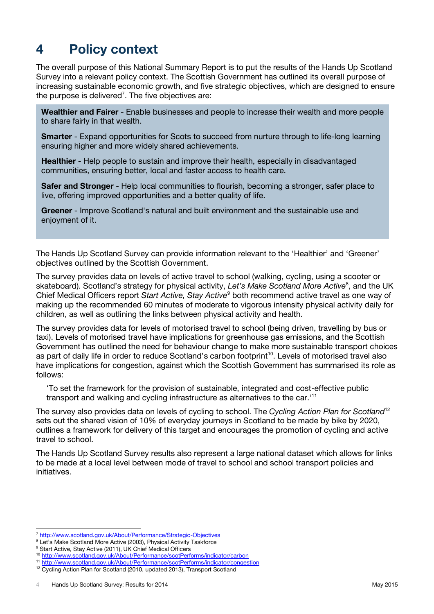# <span id="page-6-0"></span>**4 Policy context**

The overall purpose of this National Summary Report is to put the results of the Hands Up Scotland Survey into a relevant policy context. The Scottish Government has outlined its overall purpose of increasing sustainable economic growth, and five strategic objectives, which are designed to ensure the purpose is delivered<sup>7</sup>. The five objectives are:

**Wealthier and Fairer** - Enable businesses and people to increase their wealth and more people to share fairly in that wealth.

**Smarter** - Expand opportunities for Scots to succeed from nurture through to life-long learning ensuring higher and more widely shared achievements.

**Healthier** - Help people to sustain and improve their health, especially in disadvantaged communities, ensuring better, local and faster access to health care.

**Safer and Stronger** - Help local communities to flourish, becoming a stronger, safer place to live, offering improved opportunities and a better quality of life.

**Greener** - Improve Scotland's natural and built environment and the sustainable use and enjoyment of it.

The Hands Up Scotland Survey can provide information relevant to the 'Healthier' and 'Greener' objectives outlined by the Scottish Government.

The survey provides data on levels of active travel to school (walking, cycling, using a scooter or skateboard). Scotland's strategy for physical activity, Let's Make Scotland More Active<sup>8</sup>, and the UK Chief Medical Officers report *Start Active, Stay Active*<sup>9</sup> both recommend active travel as one way of making up the recommended 60 minutes of moderate to vigorous intensity physical activity daily for children, as well as outlining the links between physical activity and health.

The survey provides data for levels of motorised travel to school (being driven, travelling by bus or taxi). Levels of motorised travel have implications for greenhouse gas emissions, and the Scottish Government has outlined the need for behaviour change to make more sustainable transport choices as part of daily life in order to reduce Scotland's carbon footprint<sup>10</sup>. Levels of motorised travel also have implications for congestion, against which the Scottish Government has summarised its role as follows:

'To set the framework for the provision of sustainable, integrated and cost-effective public transport and walking and cycling infrastructure as alternatives to the car.'<sup>11</sup>

The survey also provides data on levels of cycling to school. The *Cycling Action Plan for Scotland*<sup>12</sup> sets out the shared vision of 10% of everyday journeys in Scotland to be made by bike by 2020, outlines a framework for delivery of this target and encourages the promotion of cycling and active travel to school.

The Hands Up Scotland Survey results also represent a large national dataset which allows for links to be made at a local level between mode of travel to school and school transport policies and initiatives.

<sup>7</sup> <http://www.scotland.gov.uk/About/Performance/Strategic-Objectives>

<sup>8</sup> Let's Make Scotland More Active (2003), Physical Activity Taskforce

<sup>&</sup>lt;sup>9</sup> Start Active, Stay Active (2011), UK Chief Medical Officers

<sup>10</sup> <http://www.scotland.gov.uk/About/Performance/scotPerforms/indicator/carbon>

<sup>11</sup> <http://www.scotland.gov.uk/About/Performance/scotPerforms/indicator/congestion>

<sup>&</sup>lt;sup>12</sup> Cycling Action Plan for Scotland (2010, updated 2013), Transport Scotland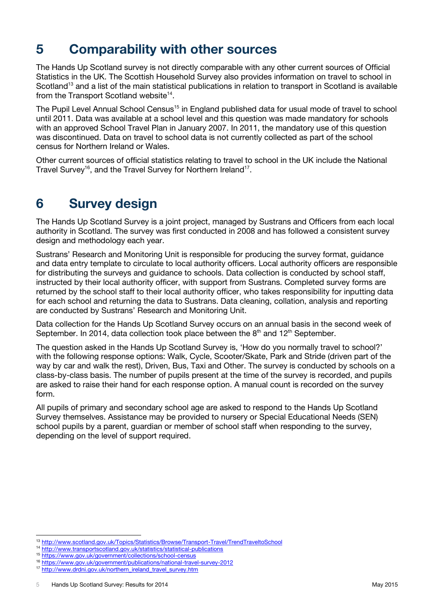# <span id="page-7-0"></span>**5 Comparability with other sources**

The Hands Up Scotland survey is not directly comparable with any other current sources of Official Statistics in the UK. The Scottish Household Survey also provides information on travel to school in Scotland<sup>13</sup> and a list of the main statistical publications in relation to transport in Scotland is available from the Transport Scotland website $14$ .

The Pupil Level Annual School Census<sup>15</sup> in England published data for usual mode of travel to school until 2011. Data was available at a school level and this question was made mandatory for schools with an approved School Travel Plan in January 2007. In 2011, the mandatory use of this question was discontinued. Data on travel to school data is not currently collected as part of the school census for Northern Ireland or Wales.

Other current sources of official statistics relating to travel to school in the UK include the National Travel Survey<sup>16</sup>, and the Travel Survey for Northern Ireland<sup>17</sup>.

# <span id="page-7-1"></span>**6 Survey design**

The Hands Up Scotland Survey is a joint project, managed by Sustrans and Officers from each local authority in Scotland. The survey was first conducted in 2008 and has followed a consistent survey design and methodology each year.

Sustrans' Research and Monitoring Unit is responsible for producing the survey format, guidance and data entry template to circulate to local authority officers. Local authority officers are responsible for distributing the surveys and guidance to schools. Data collection is conducted by school staff, instructed by their local authority officer, with support from Sustrans. Completed survey forms are returned by the school staff to their local authority officer, who takes responsibility for inputting data for each school and returning the data to Sustrans. Data cleaning, collation, analysis and reporting are conducted by Sustrans' Research and Monitoring Unit.

Data collection for the Hands Up Scotland Survey occurs on an annual basis in the second week of September. In 2014, data collection took place between the  $8<sup>th</sup>$  and 12<sup>th</sup> September.

The question asked in the Hands Up Scotland Survey is, 'How do you normally travel to school?' with the following response options: Walk, Cycle, Scooter/Skate, Park and Stride (driven part of the way by car and walk the rest), Driven, Bus, Taxi and Other. The survey is conducted by schools on a class-by-class basis. The number of pupils present at the time of the survey is recorded, and pupils are asked to raise their hand for each response option. A manual count is recorded on the survey form.

All pupils of primary and secondary school age are asked to respond to the Hands Up Scotland Survey themselves. Assistance may be provided to nursery or Special Educational Needs (SEN) school pupils by a parent, guardian or member of school staff when responding to the survey, depending on the level of support required.

<sup>13</sup> <http://www.scotland.gov.uk/Topics/Statistics/Browse/Transport-Travel/TrendTraveltoSchool>

<sup>14</sup> <http://www.transportscotland.gov.uk/statistics/statistical-publications>

<sup>15</sup> <https://www.gov.uk/government/collections/school-census>

<sup>16</sup> <https://www.gov.uk/government/publications/national-travel-survey-2012>

<sup>&</sup>lt;sup>17</sup> [http://www.drdni.gov.uk/northern\\_ireland\\_travel\\_survey.htm](http://www.drdni.gov.uk/northern_ireland_travel_survey.htm)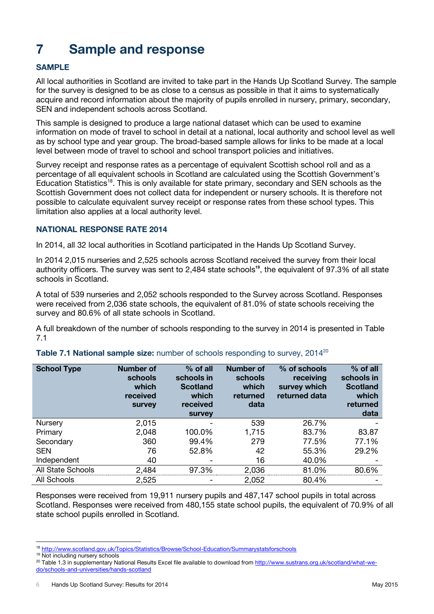# <span id="page-8-0"></span>**7 Sample and response**

# **SAMPLE**

All local authorities in Scotland are invited to take part in the Hands Up Scotland Survey. The sample for the survey is designed to be as close to a census as possible in that it aims to systematically acquire and record information about the majority of pupils enrolled in nursery, primary, secondary, SEN and independent schools across Scotland.

This sample is designed to produce a large national dataset which can be used to examine information on mode of travel to school in detail at a national, local authority and school level as well as by school type and year group. The broad-based sample allows for links to be made at a local level between mode of travel to school and school transport policies and initiatives.

Survey receipt and response rates as a percentage of equivalent Scottish school roll and as a percentage of all equivalent schools in Scotland are calculated using the Scottish Government's Education Statistics<sup>18</sup>. This is only available for state primary, secondary and SEN schools as the Scottish Government does not collect data for independent or nursery schools. It is therefore not possible to calculate equivalent survey receipt or response rates from these school types. This limitation also applies at a local authority level.

# **NATIONAL RESPONSE RATE 2014**

In 2014, all 32 local authorities in Scotland participated in the Hands Up Scotland Survey.

In 2014 2,015 nurseries and 2,525 schools across Scotland received the survey from their local authority officers. The survey was sent to 2,484 state schools**<sup>19</sup>**, the equivalent of 97.3% of all state schools in Scotland.

A total of 539 nurseries and 2,052 schools responded to the Survey across Scotland. Responses were received from 2,036 state schools, the equivalent of 81.0% of state schools receiving the survey and 80.6% of all state schools in Scotland.

A full breakdown of the number of schools responding to the survey in 2014 is presented in Table 7.1

| <b>School Type</b> | <b>Number of</b><br>schools<br>which<br>received<br><b>Survey</b> | % of all<br>schools in<br><b>Scotland</b><br>which<br>received<br><b>Survey</b> | <b>Number of</b><br>schools<br>which<br>returned<br>data | % of schools<br>receiving<br>survey which<br>returned data | % of all<br>schools in<br><b>Scotland</b><br>which<br>returned<br>data |
|--------------------|-------------------------------------------------------------------|---------------------------------------------------------------------------------|----------------------------------------------------------|------------------------------------------------------------|------------------------------------------------------------------------|
| Nursery            | 2,015                                                             |                                                                                 | 539                                                      | 26.7%                                                      |                                                                        |
| Primary            | 2,048                                                             | 100.0%                                                                          | 1,715                                                    | 83.7%                                                      | 83.87                                                                  |
| Secondary          | 360                                                               | 99.4%                                                                           | 279                                                      | 77.5%                                                      | 77.1%                                                                  |
| <b>SEN</b>         | 76                                                                | 52.8%                                                                           | 42                                                       | 55.3%                                                      | 29.2%                                                                  |
| Independent        | 40                                                                |                                                                                 | 16                                                       | 40.0%                                                      |                                                                        |
| All State Schools  | 2,484                                                             | 97.3%                                                                           | 2,036                                                    | 81.0%                                                      | 80.6%                                                                  |
| All Schools        | 2,525                                                             |                                                                                 | 2,052                                                    | 80.4%                                                      |                                                                        |

### **Table 7.1 National sample size:** number of schools responding to survey, 2014<sup>20</sup>

Responses were received from 19,911 nursery pupils and 487,147 school pupils in total across Scotland. Responses were received from 480,155 state school pupils, the equivalent of 70.9% of all state school pupils enrolled in Scotland.

<sup>18</sup> <http://www.scotland.gov.uk/Topics/Statistics/Browse/School-Education/Summarystatsforschools>

<sup>19</sup> Not including nursery schools

<sup>&</sup>lt;sup>20</sup> Table 1.3 in supplementary National Results Excel file available to download from [http://www.sustrans.org.uk/scotland/what-we](http://www.sustrans.org.uk/scotland/what-we-do/schools-and-universities/hands-scotland)[do/schools-and-universities/hands-scotland](http://www.sustrans.org.uk/scotland/what-we-do/schools-and-universities/hands-scotland)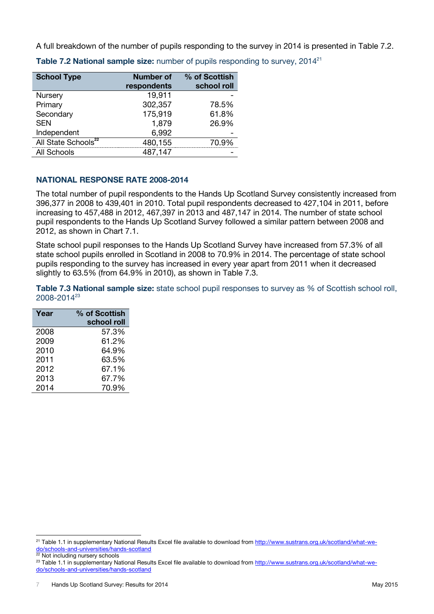A full breakdown of the number of pupils responding to the survey in 2014 is presented in Table 7.2.

| <b>School Type</b>              | <b>Number of</b><br>respondents | % of Scottish<br>school roll |
|---------------------------------|---------------------------------|------------------------------|
| Nursery                         | 19,911                          |                              |
| Primary                         | 302,357                         | 78.5%                        |
| Secondary                       | 175,919                         | 61.8%                        |
| <b>SEN</b>                      | 1,879                           | 26.9%                        |
| Independent                     | 6,992                           |                              |
| All State Schools <sup>22</sup> | 480,155                         | 70.9%                        |
| All Schools                     | 487,147                         |                              |

**Table 7.2 National sample size:** number of pupils responding to survey, 2014<sup>21</sup>

# **NATIONAL RESPONSE RATE 2008-2014**

The total number of pupil respondents to the Hands Up Scotland Survey consistently increased from 396,377 in 2008 to 439,401 in 2010. Total pupil respondents decreased to 427,104 in 2011, before increasing to 457,488 in 2012, 467,397 in 2013 and 487,147 in 2014. The number of state school pupil respondents to the Hands Up Scotland Survey followed a similar pattern between 2008 and 2012, as shown in Chart 7.1.

State school pupil responses to the Hands Up Scotland Survey have increased from 57.3% of all state school pupils enrolled in Scotland in 2008 to 70.9% in 2014. The percentage of state school pupils responding to the survey has increased in every year apart from 2011 when it decreased slightly to 63.5% (from 64.9% in 2010), as shown in Table 7.3.

**Table 7.3 National sample size:** state school pupil responses to survey as % of Scottish school roll,  $2008 - 2014^{23}$ 

| Year | % of Scottish |  |  |  |  |  |  |
|------|---------------|--|--|--|--|--|--|
|      | school roll   |  |  |  |  |  |  |
| 2008 | 57.3%         |  |  |  |  |  |  |
| 2009 | 61.2%         |  |  |  |  |  |  |
| 2010 | 64.9%         |  |  |  |  |  |  |
| 2011 | 63.5%         |  |  |  |  |  |  |
| 2012 | 67.1%         |  |  |  |  |  |  |
| 2013 | 67.7%         |  |  |  |  |  |  |
| 2014 | 70.9%         |  |  |  |  |  |  |

22 Not including nursery schools

 $\overline{a}$ <sup>21</sup> Table 1.1 in supplementary National Results Excel file available to download from [http://www.sustrans.org.uk/scotland/what-we](http://www.sustrans.org.uk/scotland/what-we-do/schools-and-universities/hands-scotland)lo/schools-and-universities/hands-scotland

<sup>&</sup>lt;sup>23</sup> Table 1.1 in supplementary National Results Excel file available to download from [http://www.sustrans.org.uk/scotland/what-we](http://www.sustrans.org.uk/scotland/what-we-do/schools-and-universities/hands-scotland)[do/schools-and-universities/hands-scotland](http://www.sustrans.org.uk/scotland/what-we-do/schools-and-universities/hands-scotland)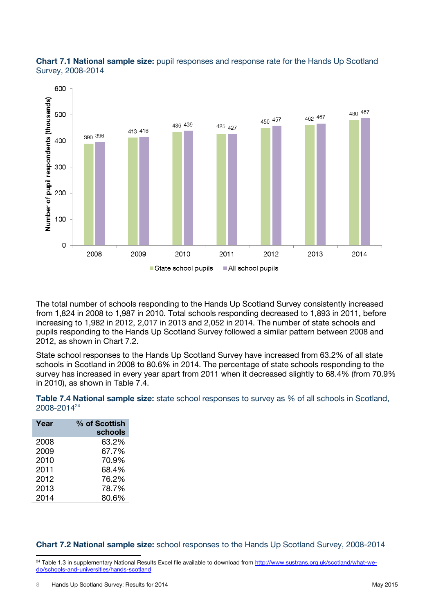



The total number of schools responding to the Hands Up Scotland Survey consistently increased from 1,824 in 2008 to 1,987 in 2010. Total schools responding decreased to 1,893 in 2011, before increasing to 1,982 in 2012, 2,017 in 2013 and 2,052 in 2014. The number of state schools and pupils responding to the Hands Up Scotland Survey followed a similar pattern between 2008 and 2012, as shown in Chart 7.2.

State school responses to the Hands Up Scotland Survey have increased from 63.2% of all state schools in Scotland in 2008 to 80.6% in 2014. The percentage of state schools responding to the survey has increased in every year apart from 2011 when it decreased slightly to 68.4% (from 70.9% in 2010), as shown in Table 7.4.

| Table 7.4 National sample size: state school responses to survey as % of all schools in Scotland, |  |  |  |
|---------------------------------------------------------------------------------------------------|--|--|--|
| 2008-2014 <sup>24</sup>                                                                           |  |  |  |

| Year | % of Scottish<br>schools |
|------|--------------------------|
| 2008 | 63.2%                    |
| 2009 | 67.7%                    |
| 2010 | 70.9%                    |
| 2011 | 68.4%                    |
| 2012 | 76.2%                    |
| 2013 | 78.7%                    |
| 2014 | 80.6%                    |

#### **Chart 7.2 National sample size:** school responses to the Hands Up Scotland Survey, 2008-2014

<sup>&</sup>lt;sup>24</sup> Table 1.3 in supplementary National Results Excel file available to download from [http://www.sustrans.org.uk/scotland/what-we](http://www.sustrans.org.uk/scotland/what-we-do/schools-and-universities/hands-scotland)[do/schools-and-universities/hands-scotland](http://www.sustrans.org.uk/scotland/what-we-do/schools-and-universities/hands-scotland)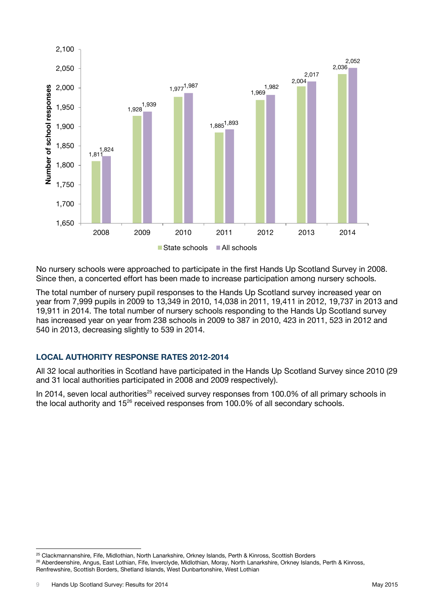

No nursery schools were approached to participate in the first Hands Up Scotland Survey in 2008. Since then, a concerted effort has been made to increase participation among nursery schools.

The total number of nursery pupil responses to the Hands Up Scotland survey increased year on year from 7,999 pupils in 2009 to 13,349 in 2010, 14,038 in 2011, 19,411 in 2012, 19,737 in 2013 and 19,911 in 2014. The total number of nursery schools responding to the Hands Up Scotland survey has increased year on year from 238 schools in 2009 to 387 in 2010, 423 in 2011, 523 in 2012 and 540 in 2013, decreasing slightly to 539 in 2014.

# **LOCAL AUTHORITY RESPONSE RATES 2012-2014**

All 32 local authorities in Scotland have participated in the Hands Up Scotland Survey since 2010 (29 and 31 local authorities participated in 2008 and 2009 respectively).

In 2014, seven local authorities<sup>25</sup> received survey responses from 100.0% of all primary schools in the local authority and  $15^{26}$  received responses from 100.0% of all secondary schools.

<sup>&</sup>lt;sup>25</sup> Clackmannanshire, Fife, Midlothian, North Lanarkshire, Orkney Islands, Perth & Kinross, Scottish Borders <sup>26</sup> Aberdeenshire, Angus, East Lothian, Fife, Inverclyde, Midlothian, Moray, North Lanarkshire, Orkney Islands, Perth & Kinross, Renfrewshire, Scottish Borders, Shetland Islands, West Dunbartonshire, West Lothian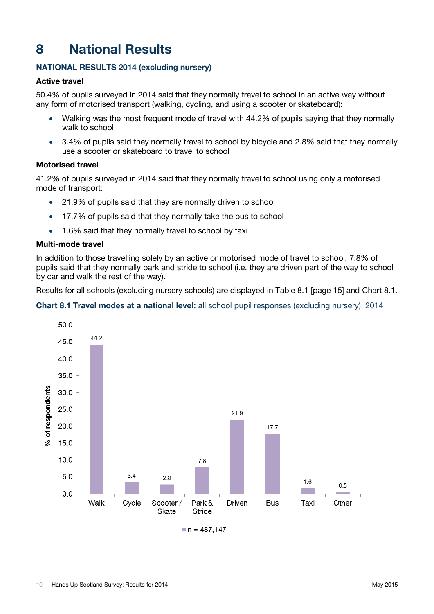# <span id="page-12-0"></span>**8 National Results**

# **NATIONAL RESULTS 2014 (excluding nursery)**

# **Active travel**

50.4% of pupils surveyed in 2014 said that they normally travel to school in an active way without any form of motorised transport (walking, cycling, and using a scooter or skateboard):

- Walking was the most frequent mode of travel with 44.2% of pupils saying that they normally walk to school
- 3.4% of pupils said they normally travel to school by bicycle and 2.8% said that they normally use a scooter or skateboard to travel to school

# **Motorised travel**

41.2% of pupils surveyed in 2014 said that they normally travel to school using only a motorised mode of transport:

- 21.9% of pupils said that they are normally driven to school
- 17.7% of pupils said that they normally take the bus to school
- 1.6% said that they normally travel to school by taxi

### **Multi-mode travel**

In addition to those travelling solely by an active or motorised mode of travel to school, 7.8% of pupils said that they normally park and stride to school (i.e. they are driven part of the way to school by car and walk the rest of the way).

Results for all schools (excluding nursery schools) are displayed in Table 8.1 [page 15] and Chart 8.1.

# **Chart 8.1 Travel modes at a national level:** all school pupil responses (excluding nursery), 2014

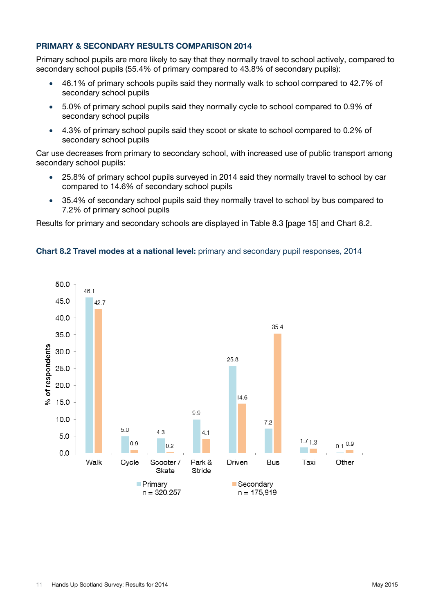# **PRIMARY & SECONDARY RESULTS COMPARISON 2014**

Primary school pupils are more likely to say that they normally travel to school actively, compared to secondary school pupils (55.4% of primary compared to 43.8% of secondary pupils):

- 46.1% of primary schools pupils said they normally walk to school compared to 42.7% of secondary school pupils
- 5.0% of primary school pupils said they normally cycle to school compared to 0.9% of secondary school pupils
- 4.3% of primary school pupils said they scoot or skate to school compared to 0.2% of secondary school pupils

Car use decreases from primary to secondary school, with increased use of public transport among secondary school pupils:

- 25.8% of primary school pupils surveyed in 2014 said they normally travel to school by car compared to 14.6% of secondary school pupils
- 35.4% of secondary school pupils said they normally travel to school by bus compared to 7.2% of primary school pupils

Results for primary and secondary schools are displayed in Table 8.3 [page 15] and Chart 8.2.



### **Chart 8.2 Travel modes at a national level:** primary and secondary pupil responses, 2014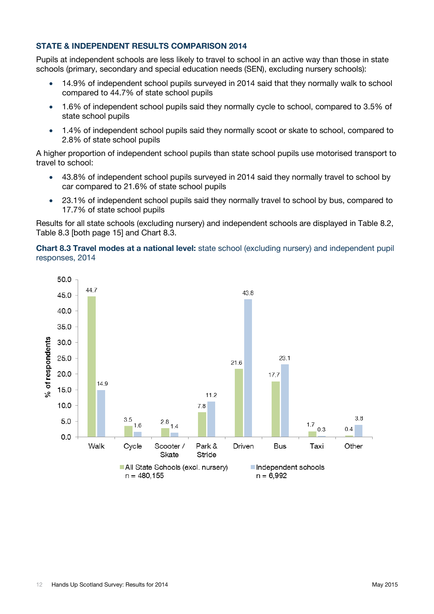# **STATE & INDEPENDENT RESULTS COMPARISON 2014**

Pupils at independent schools are less likely to travel to school in an active way than those in state schools (primary, secondary and special education needs (SEN), excluding nursery schools):

- 14.9% of independent school pupils surveyed in 2014 said that they normally walk to school compared to 44.7% of state school pupils
- 1.6% of independent school pupils said they normally cycle to school, compared to 3.5% of state school pupils
- 1.4% of independent school pupils said they normally scoot or skate to school, compared to 2.8% of state school pupils

A higher proportion of independent school pupils than state school pupils use motorised transport to travel to school:

- 43.8% of independent school pupils surveyed in 2014 said they normally travel to school by car compared to 21.6% of state school pupils
- 23.1% of independent school pupils said they normally travel to school by bus, compared to 17.7% of state school pupils

Results for all state schools (excluding nursery) and independent schools are displayed in Table 8.2, Table 8.3 [both page 15] and Chart 8.3.

### **Chart 8.3 Travel modes at a national level:** state school (excluding nursery) and independent pupil responses, 2014

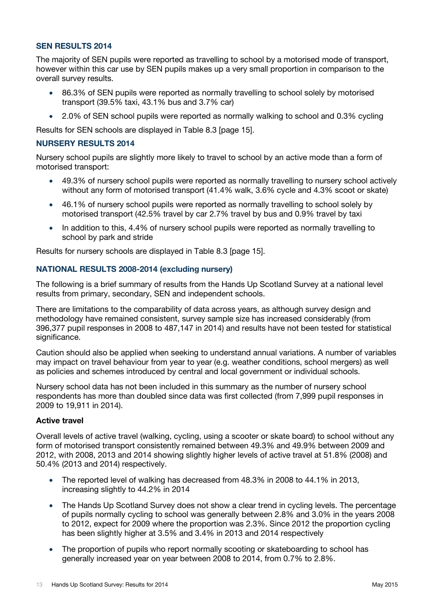# **SEN RESULTS 2014**

The majority of SEN pupils were reported as travelling to school by a motorised mode of transport, however within this car use by SEN pupils makes up a very small proportion in comparison to the overall survey results.

- 86.3% of SEN pupils were reported as normally travelling to school solely by motorised transport (39.5% taxi, 43.1% bus and 3.7% car)
- 2.0% of SEN school pupils were reported as normally walking to school and 0.3% cycling

Results for SEN schools are displayed in Table 8.3 [page 15].

### **NURSERY RESULTS 2014**

Nursery school pupils are slightly more likely to travel to school by an active mode than a form of motorised transport:

- 49.3% of nursery school pupils were reported as normally travelling to nursery school actively without any form of motorised transport (41.4% walk, 3.6% cycle and 4.3% scoot or skate)
- 46.1% of nursery school pupils were reported as normally travelling to school solely by motorised transport (42.5% travel by car 2.7% travel by bus and 0.9% travel by taxi
- In addition to this, 4.4% of nursery school pupils were reported as normally travelling to school by park and stride

Results for nursery schools are displayed in Table 8.3 [page 15].

### **NATIONAL RESULTS 2008-2014 (excluding nursery)**

The following is a brief summary of results from the Hands Up Scotland Survey at a national level results from primary, secondary, SEN and independent schools.

There are limitations to the comparability of data across years, as although survey design and methodology have remained consistent, survey sample size has increased considerably (from 396,377 pupil responses in 2008 to 487,147 in 2014) and results have not been tested for statistical significance.

Caution should also be applied when seeking to understand annual variations. A number of variables may impact on travel behaviour from year to year (e.g. weather conditions, school mergers) as well as policies and schemes introduced by central and local government or individual schools.

Nursery school data has not been included in this summary as the number of nursery school respondents has more than doubled since data was first collected (from 7,999 pupil responses in 2009 to 19,911 in 2014).

#### **Active travel**

Overall levels of active travel (walking, cycling, using a scooter or skate board) to school without any form of motorised transport consistently remained between 49.3% and 49.9% between 2009 and 2012, with 2008, 2013 and 2014 showing slightly higher levels of active travel at 51.8% (2008) and 50.4% (2013 and 2014) respectively.

- The reported level of walking has decreased from 48.3% in 2008 to 44.1% in 2013, increasing slightly to 44.2% in 2014
- The Hands Up Scotland Survey does not show a clear trend in cycling levels. The percentage of pupils normally cycling to school was generally between 2.8% and 3.0% in the years 2008 to 2012, expect for 2009 where the proportion was 2.3%. Since 2012 the proportion cycling has been slightly higher at 3.5% and 3.4% in 2013 and 2014 respectively
- The proportion of pupils who report normally scooting or skateboarding to school has generally increased year on year between 2008 to 2014, from 0.7% to 2.8%.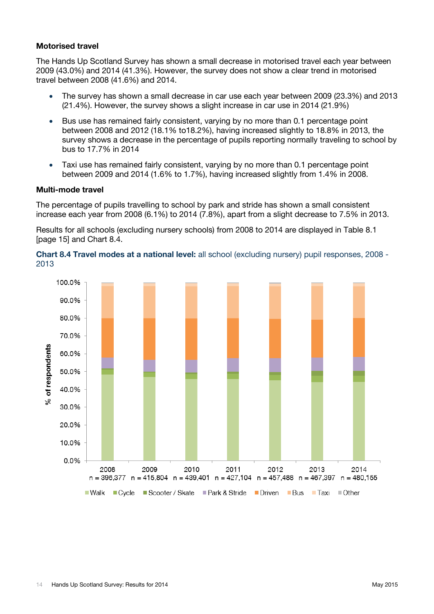### **Motorised travel**

The Hands Up Scotland Survey has shown a small decrease in motorised travel each year between 2009 (43.0%) and 2014 (41.3%). However, the survey does not show a clear trend in motorised travel between 2008 (41.6%) and 2014.

- The survey has shown a small decrease in car use each year between 2009 (23.3%) and 2013 (21.4%). However, the survey shows a slight increase in car use in 2014 (21.9%)
- Bus use has remained fairly consistent, varying by no more than 0.1 percentage point between 2008 and 2012 (18.1% to18.2%), having increased slightly to 18.8% in 2013, the survey shows a decrease in the percentage of pupils reporting normally traveling to school by bus to 17.7% in 2014
- Taxi use has remained fairly consistent, varying by no more than 0.1 percentage point between 2009 and 2014 (1.6% to 1.7%), having increased slightly from 1.4% in 2008.

#### **Multi-mode travel**

The percentage of pupils travelling to school by park and stride has shown a small consistent increase each year from 2008 (6.1%) to 2014 (7.8%), apart from a slight decrease to 7.5% in 2013.

Results for all schools (excluding nursery schools) from 2008 to 2014 are displayed in Table 8.1 [page 15] and Chart 8.4.

**Chart 8.4 Travel modes at a national level:** all school (excluding nursery) pupil responses, 2008 - 2013

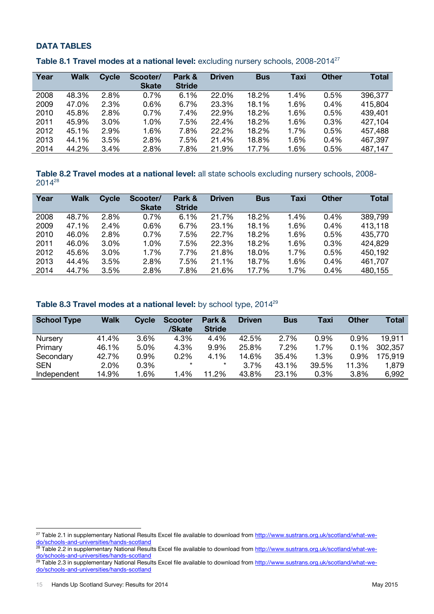# **DATA TABLES**

| Year | Walk  | <b>Cycle</b> | Scooter/<br><b>Skate</b> | Park &<br><b>Stride</b> | <b>Driven</b> | <b>Bus</b> | Taxi | <b>Other</b> | <b>Total</b> |
|------|-------|--------------|--------------------------|-------------------------|---------------|------------|------|--------------|--------------|
| 2008 | 48.3% | 2.8%         | 0.7%                     | 6.1%                    | 22.0%         | 18.2%      | 1.4% | 0.5%         | 396,377      |
| 2009 | 47.0% | 2.3%         | 0.6%                     | 6.7%                    | 23.3%         | 18.1%      | 1.6% | 0.4%         | 415,804      |
| 2010 | 45.8% | 2.8%         | 0.7%                     | 7.4%                    | 22.9%         | 18.2%      | 1.6% | 0.5%         | 439,401      |
| 2011 | 45.9% | 3.0%         | 1.0%                     | 7.5%                    | 22.4%         | 18.2%      | 1.6% | 0.3%         | 427,104      |
| 2012 | 45.1% | 2.9%         | 1.6%                     | 7.8%                    | 22.2%         | 18.2%      | 1.7% | 0.5%         | 457,488      |
| 2013 | 44.1% | 3.5%         | 2.8%                     | 7.5%                    | 21.4%         | 18.8%      | 1.6% | 0.4%         | 467,397      |
| 2014 | 44.2% | 3.4%         | 2.8%                     | 7.8%                    | 21.9%         | 17.7%      | 1.6% | 0.5%         | 487,147      |

**Table 8.1 Travel modes at a national level:** excluding nursery schools, 2008-2014<sup>27</sup>

**Table 8.2 Travel modes at a national level:** all state schools excluding nursery schools, 2008-  $2014^{28}$ 

| Year | <b>Walk</b> | <b>Cycle</b> | Scooter/     | Park &        | <b>Driven</b> | <b>Bus</b> | Taxi | <b>Other</b> | <b>Total</b> |
|------|-------------|--------------|--------------|---------------|---------------|------------|------|--------------|--------------|
|      |             |              | <b>Skate</b> | <b>Stride</b> |               |            |      |              |              |
| 2008 | 48.7%       | 2.8%         | 0.7%         | 6.1%          | 21.7%         | 18.2%      | 1.4% | 0.4%         | 389,799      |
| 2009 | 47.1%       | 2.4%         | 0.6%         | 6.7%          | 23.1%         | 18.1%      | 1.6% | 0.4%         | 413,118      |
| 2010 | 46.0%       | 2.8%         | 0.7%         | 7.5%          | 22.7%         | 18.2%      | 1.6% | 0.5%         | 435,770      |
| 2011 | 46.0%       | 3.0%         | 1.0%         | 7.5%          | 22.3%         | 18.2%      | 1.6% | 0.3%         | 424,829      |
| 2012 | 45.6%       | 3.0%         | 1.7%         | 7.7%          | 21.8%         | 18.0%      | 1.7% | 0.5%         | 450,192      |
| 2013 | 44.4%       | 3.5%         | 2.8%         | 7.5%          | 21.1%         | 18.7%      | 1.6% | 0.4%         | 461,707      |
| 2014 | 44.7%       | 3.5%         | 2.8%         | 7.8%          | 21.6%         | 17.7%      | 1.7% | 0.4%         | 480,155      |

| Table 8.3 Travel modes at a national level: by school type, 2014 <sup>29</sup> |  |  |  |
|--------------------------------------------------------------------------------|--|--|--|
|--------------------------------------------------------------------------------|--|--|--|

| <b>School Type</b> | <b>Walk</b> | <b>Cycle</b> | <b>Scooter</b><br>/Skate | Park &<br><b>Stride</b> | <b>Driven</b> | <b>Bus</b> | Taxi  | <b>Other</b> | <b>Total</b> |
|--------------------|-------------|--------------|--------------------------|-------------------------|---------------|------------|-------|--------------|--------------|
| Nursery            | 41.4%       | 3.6%         | 4.3%                     | 4.4%                    | 42.5%         | 2.7%       | 0.9%  | 0.9%         | 19.911       |
| Primary            | 46.1%       | 5.0%         | 4.3%                     | 9.9%                    | 25.8%         | 7.2%       | 1.7%  | 0.1%         | 302.357      |
| Secondary          | 42.7%       | 0.9%         | 0.2%                     | 4.1%                    | 14.6%         | 35.4%      | 1.3%  | 0.9%         | 175.919      |
| <b>SEN</b>         | 2.0%        | 0.3%         | $\star$                  | $\star$                 | 3.7%          | 43.1%      | 39.5% | 11.3%        | 1,879        |
| Independent        | 14.9%       | 1.6%         | 1.4%                     | 11.2%                   | 43.8%         | 23.1%      | 0.3%  | 3.8%         | 6,992        |

<sup>&</sup>lt;sup>27</sup> Table 2.1 in supplementary National Results Excel file available to download from [http://www.sustrans.org.uk/scotland/what-we](http://www.sustrans.org.uk/scotland/what-we-do/schools-and-universities/hands-scotland)[do/schools-and-universities/hands-scotland](http://www.sustrans.org.uk/scotland/what-we-do/schools-and-universities/hands-scotland)

<sup>&</sup>lt;sup>28</sup> Table 2.2 in supplementary National Results Excel file available to download from [http://www.sustrans.org.uk/scotland/what-we](http://www.sustrans.org.uk/scotland/what-we-do/schools-and-universities/hands-scotland)[do/schools-and-universities/hands-scotland](http://www.sustrans.org.uk/scotland/what-we-do/schools-and-universities/hands-scotland)

<sup>&</sup>lt;sup>29</sup> Table 2.3 in supplementary National Results Excel file available to download from [http://www.sustrans.org.uk/scotland/what-we](http://www.sustrans.org.uk/scotland/what-we-do/schools-and-universities/hands-scotland)[do/schools-and-universities/hands-scotland](http://www.sustrans.org.uk/scotland/what-we-do/schools-and-universities/hands-scotland)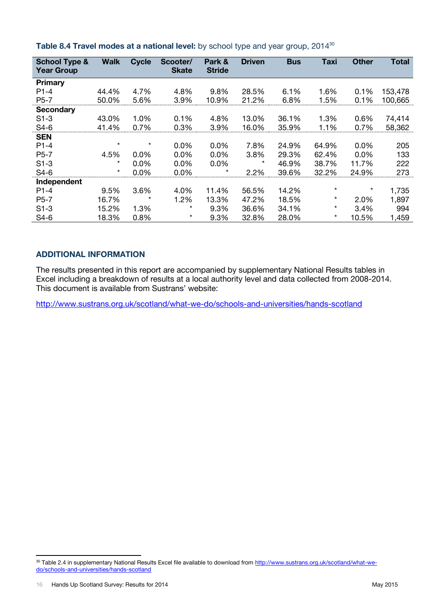| <b>School Type &amp;</b><br><b>Year Group</b> | <b>Walk</b> | <b>Cycle</b> | Scooter/<br><b>Skate</b> | Park &<br><b>Stride</b> | <b>Driven</b> | <b>Bus</b> | <b>Taxi</b> | <b>Other</b> | <b>Total</b> |
|-----------------------------------------------|-------------|--------------|--------------------------|-------------------------|---------------|------------|-------------|--------------|--------------|
| <b>Primary</b>                                |             |              |                          |                         |               |            |             |              |              |
| $P1-4$                                        | 44.4%       | 4.7%         | 4.8%                     | 9.8%                    | 28.5%         | 6.1%       | 1.6%        | 0.1%         | 153,478      |
| $P5-7$                                        | 50.0%       | 5.6%         | 3.9%                     | 10.9%                   | 21.2%         | 6.8%       | 1.5%        | 0.1%         | 100,665      |
| <b>Secondary</b>                              |             |              |                          |                         |               |            |             |              |              |
| $S1-3$                                        | 43.0%       | 1.0%         | 0.1%                     | 4.8%                    | 13.0%         | 36.1%      | 1.3%        | 0.6%         | 74,414       |
| $S4-6$                                        | 41.4%       | 0.7%         | 0.3%                     | 3.9%                    | 16.0%         | 35.9%      | 1.1%        | 0.7%         | 58,362       |
| <b>SEN</b>                                    |             |              |                          |                         |               |            |             |              |              |
| $P1-4$                                        | $\star$     | $^\star$     | 0.0%                     | 0.0%                    | 7.8%          | 24.9%      | 64.9%       | 0.0%         | 205          |
| $P5-7$                                        | 4.5%        | $0.0\%$      | $0.0\%$                  | 0.0%                    | 3.8%          | 29.3%      | 62.4%       | 0.0%         | 133          |
| $S1-3$                                        | $\star$     | 0.0%         | $0.0\%$                  | 0.0%                    | $^\star$      | 46.9%      | 38.7%       | 11.7%        | 222          |
| $S4-6$                                        | $\star$     | 0.0%         | 0.0%                     | $^\star$                | 2.2%          | 39.6%      | 32.2%       | 24.9%        | 273          |
| Independent                                   |             |              |                          |                         |               |            |             |              |              |
| $P1-4$                                        | 9.5%        | 3.6%         | 4.0%                     | 11.4%                   | 56.5%         | 14.2%      | $\star$     | $^\star$     | 1,735        |
| $P5-7$                                        | 16.7%       | $^\star$     | 1.2%                     | 13.3%                   | 47.2%         | 18.5%      | $\star$     | 2.0%         | 1,897        |
| $S1-3$                                        | 15.2%       | 1.3%         | $^\star$                 | 9.3%                    | 36.6%         | 34.1%      | $\star$     | 3.4%         | 994          |
| $S4-6$                                        | 18.3%       | 0.8%         | $^\star$                 | 9.3%                    | 32.8%         | 28.0%      | $\star$     | 10.5%        | 1,459        |

### **Table 8.4 Travel modes at a national level:** by school type and year group, 2014<sup>30</sup>

# **ADDITIONAL INFORMATION**

The results presented in this report are accompanied by supplementary National Results tables in Excel including a breakdown of results at a local authority level and data collected from 2008-2014. This document is available from Sustrans' website:

<http://www.sustrans.org.uk/scotland/what-we-do/schools-and-universities/hands-scotland>

<sup>&</sup>lt;sup>30</sup> Table 2.4 in supplementary National Results Excel file available to download from [http://www.sustrans.org.uk/scotland/what-we](http://www.sustrans.org.uk/scotland/what-we-do/schools-and-universities/hands-scotland)[do/schools-and-universities/hands-scotland](http://www.sustrans.org.uk/scotland/what-we-do/schools-and-universities/hands-scotland)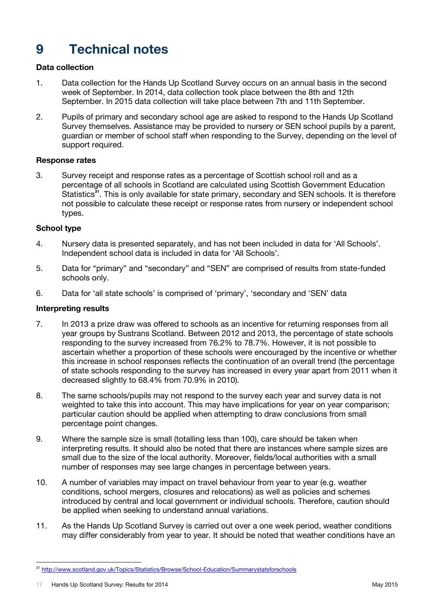# <span id="page-19-0"></span>**9 Technical notes**

# **Data collection**

- 1. Data collection for the Hands Up Scotland Survey occurs on an annual basis in the second week of September. In 2014, data collection took place between the 8th and 12th September. In 2015 data collection will take place between 7th and 11th September.
- 2. Pupils of primary and secondary school age are asked to respond to the Hands Up Scotland Survey themselves. Assistance may be provided to nursery or SEN school pupils by a parent, guardian or member of school staff when responding to the Survey, depending on the level of support required.

# **Response rates**

3. Survey receipt and response rates as a percentage of Scottish school roll and as a percentage of all schools in Scotland are calculated using Scottish Government Education Statistics**<sup>31</sup>**. This is only available for state primary, secondary and SEN schools. It is therefore not possible to calculate these receipt or response rates from nursery or independent school types.

### **School type**

- 4. Nursery data is presented separately, and has not been included in data for 'All Schools'. Independent school data is included in data for 'All Schools'.
- 5. Data for "primary" and "secondary" and "SEN" are comprised of results from state-funded schools only.
- 6. Data for 'all state schools' is comprised of 'primary', 'secondary and 'SEN' data

#### **Interpreting results**

- 7. In 2013 a prize draw was offered to schools as an incentive for returning responses from all year groups by Sustrans Scotland. Between 2012 and 2013, the percentage of state schools responding to the survey increased from 76.2% to 78.7%. However, it is not possible to ascertain whether a proportion of these schools were encouraged by the incentive or whether this increase in school responses reflects the continuation of an overall trend (the percentage of state schools responding to the survey has increased in every year apart from 2011 when it decreased slightly to 68.4% from 70.9% in 2010).
- 8. The same schools/pupils may not respond to the survey each year and survey data is not weighted to take this into account. This may have implications for year on year comparison; particular caution should be applied when attempting to draw conclusions from small percentage point changes.
- 9. Where the sample size is small (totalling less than 100), care should be taken when interpreting results. It should also be noted that there are instances where sample sizes are small due to the size of the local authority. Moreover, fields/local authorities with a small number of responses may see large changes in percentage between years.
- 10. A number of variables may impact on travel behaviour from year to year (e.g. weather conditions, school mergers, closures and relocations) as well as policies and schemes introduced by central and local government or individual schools. Therefore, caution should be applied when seeking to understand annual variations.
- 11. As the Hands Up Scotland Survey is carried out over a one week period, weather conditions may differ considerably from year to year. It should be noted that weather conditions have an

<sup>31</sup> <http://www.scotland.gov.uk/Topics/Statistics/Browse/School-Education/Summarystatsforschools>